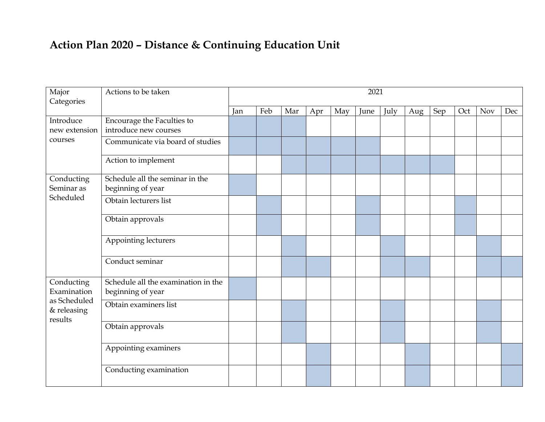## **Action Plan 2020 – Distance & Continuing Education Unit**

| Major<br>Categories                                                 | Actions to be taken                                      | 2021 |     |     |     |     |      |      |     |     |     |            |     |
|---------------------------------------------------------------------|----------------------------------------------------------|------|-----|-----|-----|-----|------|------|-----|-----|-----|------------|-----|
|                                                                     |                                                          | Jan  | Feb | Mar | Apr | May | June | July | Aug | Sep | Oct | <b>Nov</b> | Dec |
| Introduce                                                           | Encourage the Faculties to                               |      |     |     |     |     |      |      |     |     |     |            |     |
| new extension                                                       | introduce new courses                                    |      |     |     |     |     |      |      |     |     |     |            |     |
| courses                                                             | Communicate via board of studies                         |      |     |     |     |     |      |      |     |     |     |            |     |
|                                                                     | Action to implement                                      |      |     |     |     |     |      |      |     |     |     |            |     |
| Conducting<br>Seminar as<br>Scheduled                               | Schedule all the seminar in the<br>beginning of year     |      |     |     |     |     |      |      |     |     |     |            |     |
|                                                                     | Obtain lecturers list                                    |      |     |     |     |     |      |      |     |     |     |            |     |
|                                                                     | Obtain approvals                                         |      |     |     |     |     |      |      |     |     |     |            |     |
|                                                                     | Appointing lecturers                                     |      |     |     |     |     |      |      |     |     |     |            |     |
|                                                                     | Conduct seminar                                          |      |     |     |     |     |      |      |     |     |     |            |     |
| Conducting<br>Examination<br>as Scheduled<br>& releasing<br>results | Schedule all the examination in the<br>beginning of year |      |     |     |     |     |      |      |     |     |     |            |     |
|                                                                     | Obtain examiners list                                    |      |     |     |     |     |      |      |     |     |     |            |     |
|                                                                     | Obtain approvals                                         |      |     |     |     |     |      |      |     |     |     |            |     |
|                                                                     | Appointing examiners                                     |      |     |     |     |     |      |      |     |     |     |            |     |
|                                                                     | Conducting examination                                   |      |     |     |     |     |      |      |     |     |     |            |     |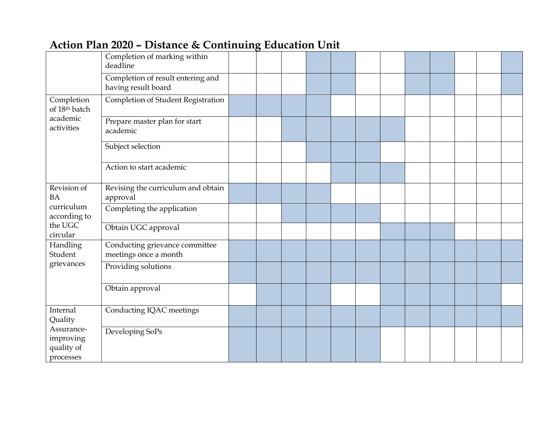|                                                                           | Completion of marking within<br>deadline                 |  |  |  |  |  |  |
|---------------------------------------------------------------------------|----------------------------------------------------------|--|--|--|--|--|--|
|                                                                           | Completion of result entering and<br>having result board |  |  |  |  |  |  |
| Completion<br>of 18 <sup>th</sup> batch                                   | Completion of Student Registration                       |  |  |  |  |  |  |
| academic<br>activities                                                    | Prepare master plan for start<br>academic                |  |  |  |  |  |  |
|                                                                           | Subject selection                                        |  |  |  |  |  |  |
|                                                                           | Action to start academic                                 |  |  |  |  |  |  |
| Revision of<br><b>BA</b>                                                  | Revising the curriculum and obtain<br>approval           |  |  |  |  |  |  |
| curriculum<br>according to                                                | Completing the application                               |  |  |  |  |  |  |
| the UGC<br>circular                                                       | Obtain UGC approval                                      |  |  |  |  |  |  |
| Handling<br>Student<br>grievances                                         | Conducting grievance committee<br>meetings once a month  |  |  |  |  |  |  |
|                                                                           | Providing solutions                                      |  |  |  |  |  |  |
|                                                                           | Obtain approval                                          |  |  |  |  |  |  |
| Internal<br>Quality<br>Assurance-<br>improving<br>quality of<br>processes | Conducting IQAC meetings                                 |  |  |  |  |  |  |
|                                                                           | Developing SoPs                                          |  |  |  |  |  |  |

## **Action Plan 2020 – Distance & Continuing Education Unit**